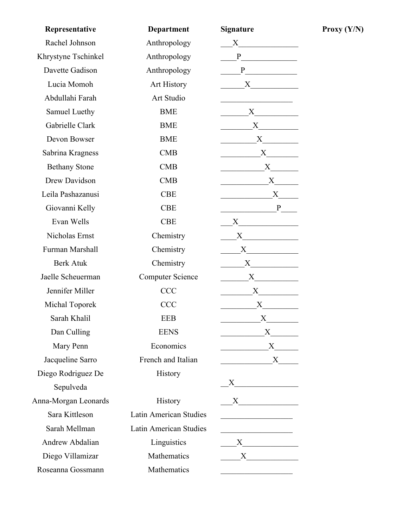| Representative       | Department                    | <b>Signature</b>                                                                                                                                                                                                              |
|----------------------|-------------------------------|-------------------------------------------------------------------------------------------------------------------------------------------------------------------------------------------------------------------------------|
| Rachel Johnson       | Anthropology                  | $X \qquad \qquad \qquad$                                                                                                                                                                                                      |
| Khrystyne Tschinkel  | Anthropology                  | P                                                                                                                                                                                                                             |
| Davette Gadison      | Anthropology                  |                                                                                                                                                                                                                               |
| Lucia Momoh          | Art History                   | $X \quad \qquad$                                                                                                                                                                                                              |
| Abdullahi Farah      | <b>Art Studio</b>             |                                                                                                                                                                                                                               |
| Samuel Luethy        | <b>BME</b>                    |                                                                                                                                                                                                                               |
| Gabrielle Clark      | <b>BME</b>                    |                                                                                                                                                                                                                               |
| Devon Bowser         | <b>BME</b>                    | $X \qquad \qquad$                                                                                                                                                                                                             |
| Sabrina Kragness     | <b>CMB</b>                    |                                                                                                                                                                                                                               |
| <b>Bethany Stone</b> | CMB                           |                                                                                                                                                                                                                               |
| Drew Davidson        | <b>CMB</b>                    |                                                                                                                                                                                                                               |
| Leila Pashazanusi    | <b>CBE</b>                    | X                                                                                                                                                                                                                             |
| Giovanni Kelly       | <b>CBE</b>                    | P                                                                                                                                                                                                                             |
| Evan Wells           | <b>CBE</b>                    |                                                                                                                                                                                                                               |
| Nicholas Ernst       | Chemistry                     | $X$ and $X$ and $X$ and $X$ and $X$ and $X$ and $X$ and $X$ and $X$ and $X$ and $X$ and $X$ and $X$ and $X$ and $X$ and $X$ and $X$ and $X$ and $X$ and $X$ and $X$ and $X$ and $X$ and $X$ and $X$ and $X$ and $X$ and $X$ a |
| Furman Marshall      | Chemistry                     | $X \sim$                                                                                                                                                                                                                      |
| <b>Berk Atuk</b>     | Chemistry                     | $X$ and $X$                                                                                                                                                                                                                   |
| Jaelle Scheuerman    | <b>Computer Science</b>       |                                                                                                                                                                                                                               |
| Jennifer Miller      | <b>CCC</b>                    |                                                                                                                                                                                                                               |
| Michal Toporek       | <b>CCC</b>                    | $X \quad \underline{\qquad \qquad }$                                                                                                                                                                                          |
| Sarah Khalil         | <b>EEB</b>                    | $\boldsymbol{\mathrm{X}}$                                                                                                                                                                                                     |
| Dan Culling          | <b>EENS</b>                   |                                                                                                                                                                                                                               |
| Mary Penn            | Economics                     | $\overbrace{\text{X}}$                                                                                                                                                                                                        |
| Jacqueline Sarro     | French and Italian            | $X$ <sub>_____</sub>                                                                                                                                                                                                          |
| Diego Rodriguez De   | History                       |                                                                                                                                                                                                                               |
| Sepulveda            |                               |                                                                                                                                                                                                                               |
| Anna-Morgan Leonards | History                       | X                                                                                                                                                                                                                             |
| Sara Kittleson       | <b>Latin American Studies</b> |                                                                                                                                                                                                                               |
| Sarah Mellman        | Latin American Studies        |                                                                                                                                                                                                                               |
| Andrew Abdalian      | Linguistics                   | $X$ and $X$ and $X$ and $X$ and $X$ and $X$ and $X$ and $X$ and $X$ and $X$ and $X$ and $X$ and $X$ and $X$ and $X$ and $X$ and $X$ and $X$ and $X$ and $X$ and $X$ and $X$ and $X$ and $X$ and $X$ and $X$ and $X$ and $X$ a |
| Diego Villamizar     | Mathematics                   |                                                                                                                                                                                                                               |
| Roseanna Gossmann    | Mathematics                   |                                                                                                                                                                                                                               |

**Proxy**  $(Y/N)$